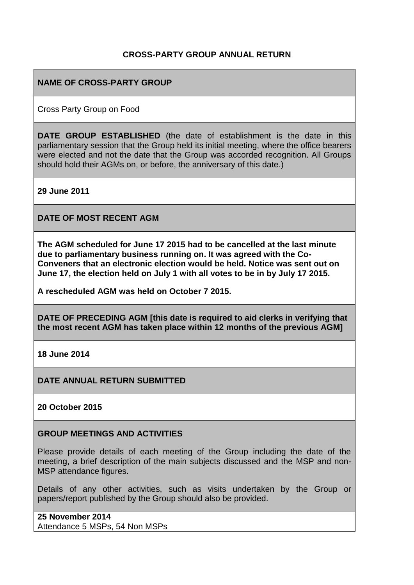## **CROSS-PARTY GROUP ANNUAL RETURN**

## **NAME OF CROSS-PARTY GROUP**

Cross Party Group on Food

**DATE GROUP ESTABLISHED** (the date of establishment is the date in this parliamentary session that the Group held its initial meeting, where the office bearers were elected and not the date that the Group was accorded recognition. All Groups should hold their AGMs on, or before, the anniversary of this date.)

**29 June 2011**

**DATE OF MOST RECENT AGM**

**The AGM scheduled for June 17 2015 had to be cancelled at the last minute due to parliamentary business running on. It was agreed with the Co-Conveners that an electronic election would be held. Notice was sent out on June 17, the election held on July 1 with all votes to be in by July 17 2015.**

**A rescheduled AGM was held on October 7 2015.**

**DATE OF PRECEDING AGM [this date is required to aid clerks in verifying that the most recent AGM has taken place within 12 months of the previous AGM]**

**18 June 2014**

**DATE ANNUAL RETURN SUBMITTED**

**20 October 2015**

#### **GROUP MEETINGS AND ACTIVITIES**

Please provide details of each meeting of the Group including the date of the meeting, a brief description of the main subjects discussed and the MSP and non-MSP attendance figures.

Details of any other activities, such as visits undertaken by the Group or papers/report published by the Group should also be provided.

**25 November 2014** Attendance 5 MSPs, 54 Non MSPs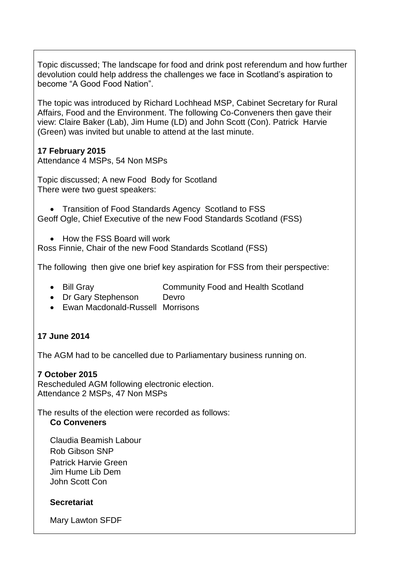Topic discussed; The landscape for food and drink post referendum and how further devolution could help address the challenges we face in Scotland's aspiration to become "A Good Food Nation".

The topic was introduced by Richard Lochhead MSP, Cabinet Secretary for Rural Affairs, Food and the Environment. The following Co-Conveners then gave their view: Claire Baker (Lab), Jim Hume (LD) and John Scott (Con). Patrick Harvie (Green) was invited but unable to attend at the last minute.

## **17 February 2015**

Attendance 4 MSPs, 54 Non MSPs

Topic discussed; A new Food Body for Scotland There were two guest speakers:

• Transition of Food Standards Agency Scotland to FSS Geoff Ogle, Chief Executive of the new Food Standards Scotland (FSS)

• How the FSS Board will work

Ross Finnie, Chair of the new Food Standards Scotland (FSS)

The following then give one brief key aspiration for FSS from their perspective:

- Bill Gray Community Food and Health Scotland
- Dr Gary Stephenson Devro
- Ewan Macdonald-Russell Morrisons

### **17 June 2014**

The AGM had to be cancelled due to Parliamentary business running on.

### **7 October 2015**

Rescheduled AGM following electronic election. Attendance 2 MSPs, 47 Non MSPs

The results of the election were recorded as follows: **Co Conveners**

Claudia Beamish Labour Rob Gibson SNP Patrick Harvie Green Jim Hume Lib Dem John Scott Con

### **Secretariat**

Mary Lawton SFDF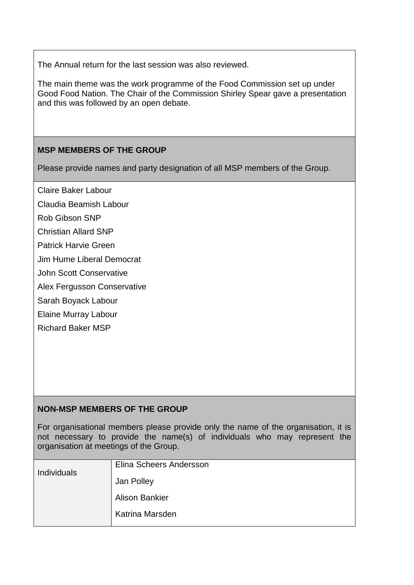The Annual return for the last session was also reviewed.

The main theme was the work programme of the Food Commission set up under Good Food Nation. The Chair of the Commission Shirley Spear gave a presentation and this was followed by an open debate.

# **MSP MEMBERS OF THE GROUP**

Please provide names and party designation of all MSP members of the Group.

Claire Baker Labour

- Claudia Beamish Labour
- Rob Gibson SNP
- Christian Allard SNP
- Patrick Harvie Green
- Jim Hume Liberal Democrat
- John Scott Conservative
- Alex Fergusson Conservative
- Sarah Boyack Labour
- Elaine Murray Labour
- Richard Baker MSP

### **NON-MSP MEMBERS OF THE GROUP**

For organisational members please provide only the name of the organisation, it is not necessary to provide the name(s) of individuals who may represent the organisation at meetings of the Group.

| <b>Individuals</b> | Elina Scheers Andersson |
|--------------------|-------------------------|
|                    | Jan Polley              |
|                    | <b>Alison Bankier</b>   |
|                    | Katrina Marsden         |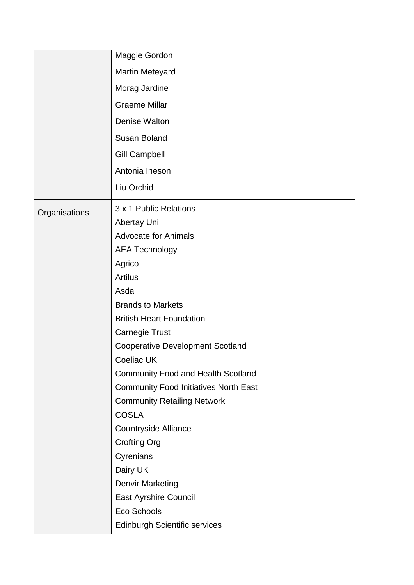|               | Maggie Gordon                                |
|---------------|----------------------------------------------|
|               | <b>Martin Meteyard</b>                       |
|               | Morag Jardine                                |
|               | <b>Graeme Millar</b>                         |
|               | Denise Walton                                |
|               | <b>Susan Boland</b>                          |
|               | <b>Gill Campbell</b>                         |
|               | Antonia Ineson                               |
|               | Liu Orchid                                   |
|               |                                              |
| Organisations | 3 x 1 Public Relations                       |
|               | Abertay Uni                                  |
|               | <b>Advocate for Animals</b>                  |
|               | <b>AEA Technology</b>                        |
|               | Agrico                                       |
|               | <b>Artilus</b>                               |
|               | Asda                                         |
|               | <b>Brands to Markets</b>                     |
|               | <b>British Heart Foundation</b>              |
|               | <b>Carnegie Trust</b>                        |
|               | <b>Cooperative Development Scotland</b>      |
|               | Coeliac UK                                   |
|               | <b>Community Food and Health Scotland</b>    |
|               | <b>Community Food Initiatives North East</b> |
|               | <b>Community Retailing Network</b>           |
|               | <b>COSLA</b>                                 |
|               | <b>Countryside Alliance</b>                  |
|               | <b>Crofting Org</b>                          |
|               | Cyrenians                                    |
|               | Dairy UK                                     |
|               | <b>Denvir Marketing</b>                      |
|               | <b>East Ayrshire Council</b>                 |
|               | Eco Schools                                  |
|               | <b>Edinburgh Scientific services</b>         |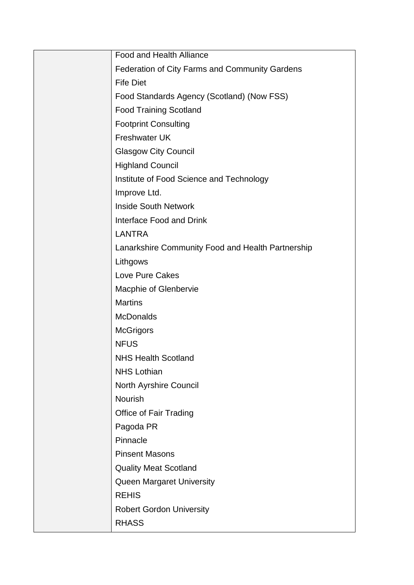| <b>Food and Health Alliance</b>                   |
|---------------------------------------------------|
| Federation of City Farms and Community Gardens    |
| <b>Fife Diet</b>                                  |
| Food Standards Agency (Scotland) (Now FSS)        |
| <b>Food Training Scotland</b>                     |
| <b>Footprint Consulting</b>                       |
| <b>Freshwater UK</b>                              |
| <b>Glasgow City Council</b>                       |
| <b>Highland Council</b>                           |
| Institute of Food Science and Technology          |
| Improve Ltd.                                      |
| <b>Inside South Network</b>                       |
| Interface Food and Drink                          |
| <b>LANTRA</b>                                     |
| Lanarkshire Community Food and Health Partnership |
| Lithgows                                          |
| Love Pure Cakes                                   |
| <b>Macphie of Glenbervie</b>                      |
| <b>Martins</b>                                    |
| <b>McDonalds</b>                                  |
| <b>McGrigors</b>                                  |
| <b>NFUS</b>                                       |
| <b>NHS Health Scotland</b>                        |
| <b>NHS Lothian</b>                                |
| North Ayrshire Council                            |
| <b>Nourish</b>                                    |
| Office of Fair Trading                            |
| Pagoda PR                                         |
| Pinnacle                                          |
| <b>Pinsent Masons</b>                             |
| <b>Quality Meat Scotland</b>                      |
| <b>Queen Margaret University</b>                  |
| <b>REHIS</b>                                      |
| <b>Robert Gordon University</b>                   |
| <b>RHASS</b>                                      |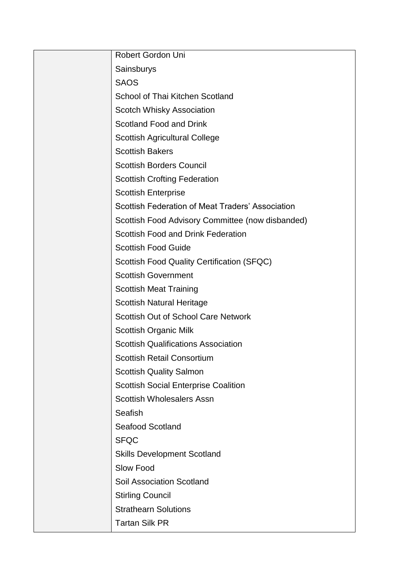| Robert Gordon Uni                                |
|--------------------------------------------------|
| Sainsburys                                       |
| <b>SAOS</b>                                      |
| School of Thai Kitchen Scotland                  |
| Scotch Whisky Association                        |
| <b>Scotland Food and Drink</b>                   |
| <b>Scottish Agricultural College</b>             |
| <b>Scottish Bakers</b>                           |
| <b>Scottish Borders Council</b>                  |
| <b>Scottish Crofting Federation</b>              |
| <b>Scottish Enterprise</b>                       |
| Scottish Federation of Meat Traders' Association |
| Scottish Food Advisory Committee (now disbanded) |
| Scottish Food and Drink Federation               |
| <b>Scottish Food Guide</b>                       |
| Scottish Food Quality Certification (SFQC)       |
| <b>Scottish Government</b>                       |
| <b>Scottish Meat Training</b>                    |
| <b>Scottish Natural Heritage</b>                 |
| <b>Scottish Out of School Care Network</b>       |
| <b>Scottish Organic Milk</b>                     |
| <b>Scottish Qualifications Association</b>       |
| <b>Scottish Retail Consortium</b>                |
| <b>Scottish Quality Salmon</b>                   |
| <b>Scottish Social Enterprise Coalition</b>      |
| <b>Scottish Wholesalers Assn</b>                 |
| Seafish                                          |
| <b>Seafood Scotland</b>                          |
| <b>SFQC</b>                                      |
| <b>Skills Development Scotland</b>               |
| Slow Food                                        |
| <b>Soil Association Scotland</b>                 |
| <b>Stirling Council</b>                          |
| <b>Strathearn Solutions</b>                      |
| <b>Tartan Silk PR</b>                            |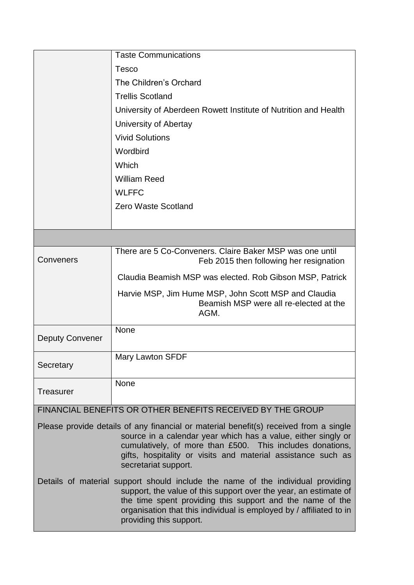|                        | <b>Taste Communications</b>                                                                                                                                                                                                                                                                                        |
|------------------------|--------------------------------------------------------------------------------------------------------------------------------------------------------------------------------------------------------------------------------------------------------------------------------------------------------------------|
|                        | <b>Tesco</b>                                                                                                                                                                                                                                                                                                       |
|                        | The Children's Orchard                                                                                                                                                                                                                                                                                             |
|                        | <b>Trellis Scotland</b>                                                                                                                                                                                                                                                                                            |
|                        | University of Aberdeen Rowett Institute of Nutrition and Health                                                                                                                                                                                                                                                    |
|                        | University of Abertay                                                                                                                                                                                                                                                                                              |
|                        | <b>Vivid Solutions</b>                                                                                                                                                                                                                                                                                             |
|                        | Wordbird                                                                                                                                                                                                                                                                                                           |
|                        | Which                                                                                                                                                                                                                                                                                                              |
|                        | <b>William Reed</b>                                                                                                                                                                                                                                                                                                |
|                        | <b>WLFFC</b>                                                                                                                                                                                                                                                                                                       |
|                        | <b>Zero Waste Scotland</b>                                                                                                                                                                                                                                                                                         |
|                        |                                                                                                                                                                                                                                                                                                                    |
|                        |                                                                                                                                                                                                                                                                                                                    |
| Conveners              | There are 5 Co-Conveners. Claire Baker MSP was one until<br>Feb 2015 then following her resignation                                                                                                                                                                                                                |
|                        | Claudia Beamish MSP was elected. Rob Gibson MSP, Patrick                                                                                                                                                                                                                                                           |
|                        | Harvie MSP, Jim Hume MSP, John Scott MSP and Claudia<br>Beamish MSP were all re-elected at the<br>AGM.                                                                                                                                                                                                             |
| <b>Deputy Convener</b> | None                                                                                                                                                                                                                                                                                                               |
| Secretary              | <b>Mary Lawton SFDF</b>                                                                                                                                                                                                                                                                                            |
| <b>Treasurer</b>       | None                                                                                                                                                                                                                                                                                                               |
|                        | FINANCIAL BENEFITS OR OTHER BENEFITS RECEIVED BY THE GROUP                                                                                                                                                                                                                                                         |
|                        | Please provide details of any financial or material benefit(s) received from a single<br>source in a calendar year which has a value, either singly or<br>cumulatively, of more than £500. This includes donations,<br>gifts, hospitality or visits and material assistance such as<br>secretariat support.        |
|                        | Details of material support should include the name of the individual providing<br>support, the value of this support over the year, an estimate of<br>the time spent providing this support and the name of the<br>organisation that this individual is employed by / affiliated to in<br>providing this support. |